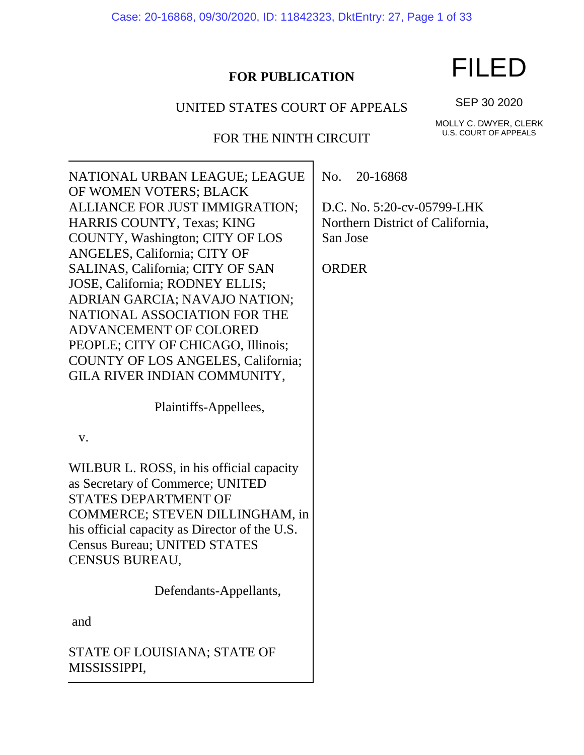Case: 20-16868, 09/30/2020, ID: 11842323, DktEntry: 27, Page 1 of 33

# **FOR PUBLICATION**

# UNITED STATES COURT OF APPEALS

FOR THE NINTH CIRCUIT

MOLLY C. DWYER, CLERK U.S. COURT OF APPEALS

SEP 30 2020

NATIONAL URBAN LEAGUE; LEAGUE OF WOMEN VOTERS; BLACK ALLIANCE FOR JUST IMMIGRATION; HARRIS COUNTY, Texas; KING COUNTY, Washington; CITY OF LOS ANGELES, California; CITY OF SALINAS, California; CITY OF SAN JOSE, California; RODNEY ELLIS; ADRIAN GARCIA; NAVAJO NATION; NATIONAL ASSOCIATION FOR THE ADVANCEMENT OF COLORED PEOPLE; CITY OF CHICAGO, Illinois; COUNTY OF LOS ANGELES, California; GILA RIVER INDIAN COMMUNITY,

Plaintiffs-Appellees,

v.

WILBUR L. ROSS, in his official capacity as Secretary of Commerce; UNITED STATES DEPARTMENT OF COMMERCE; STEVEN DILLINGHAM, in his official capacity as Director of the U.S. Census Bureau; UNITED STATES CENSUS BUREAU,

Defendants-Appellants,

and

STATE OF LOUISIANA; STATE OF MISSISSIPPI,

No. 20-16868

D.C. No. 5:20-cv-05799-LHK Northern District of California, San Jose

**ORDER** 

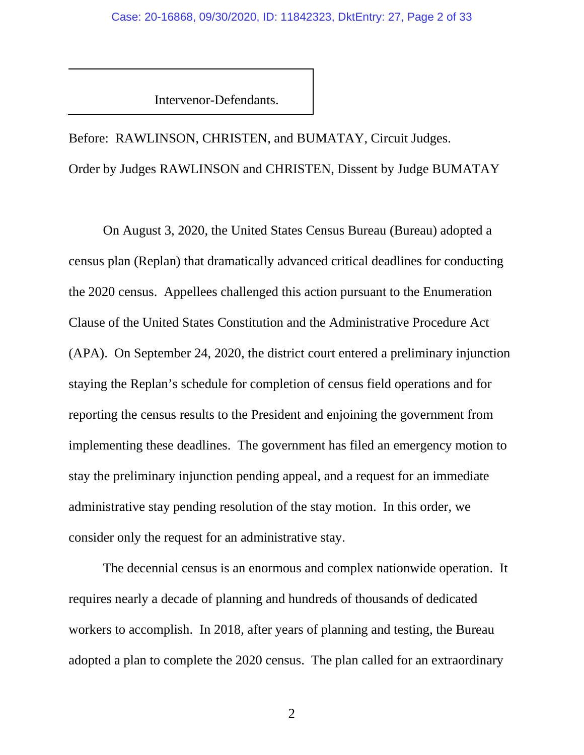Intervenor-Defendants.

Before: RAWLINSON, CHRISTEN, and BUMATAY, Circuit Judges. Order by Judges RAWLINSON and CHRISTEN, Dissent by Judge BUMATAY

On August 3, 2020, the United States Census Bureau (Bureau) adopted a census plan (Replan) that dramatically advanced critical deadlines for conducting the 2020 census. Appellees challenged this action pursuant to the Enumeration Clause of the United States Constitution and the Administrative Procedure Act (APA). On September 24, 2020, the district court entered a preliminary injunction staying the Replan's schedule for completion of census field operations and for reporting the census results to the President and enjoining the government from implementing these deadlines. The government has filed an emergency motion to stay the preliminary injunction pending appeal, and a request for an immediate administrative stay pending resolution of the stay motion. In this order, we consider only the request for an administrative stay.

The decennial census is an enormous and complex nationwide operation. It requires nearly a decade of planning and hundreds of thousands of dedicated workers to accomplish. In 2018, after years of planning and testing, the Bureau adopted a plan to complete the 2020 census. The plan called for an extraordinary

2 a set of  $\sim$  2 a set of  $\sim$  2 a set of  $\sim$  2 a set of  $\sim$  3 a set of  $\sim$  3 a set of  $\sim$  3 a set of  $\sim$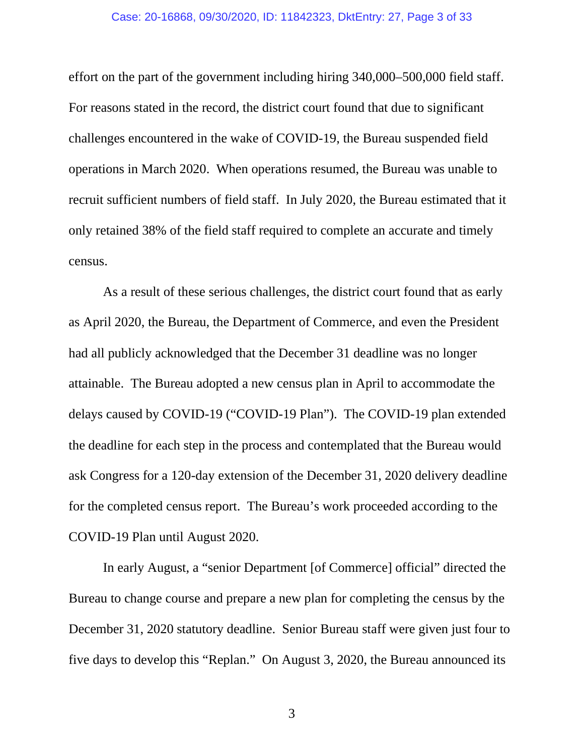#### Case: 20-16868, 09/30/2020, ID: 11842323, DktEntry: 27, Page 3 of 33

effort on the part of the government including hiring 340,000–500,000 field staff. For reasons stated in the record, the district court found that due to significant challenges encountered in the wake of COVID-19, the Bureau suspended field operations in March 2020. When operations resumed, the Bureau was unable to recruit sufficient numbers of field staff. In July 2020, the Bureau estimated that it only retained 38% of the field staff required to complete an accurate and timely census.

As a result of these serious challenges, the district court found that as early as April 2020, the Bureau, the Department of Commerce, and even the President had all publicly acknowledged that the December 31 deadline was no longer attainable. The Bureau adopted a new census plan in April to accommodate the delays caused by COVID-19 ("COVID-19 Plan"). The COVID-19 plan extended the deadline for each step in the process and contemplated that the Bureau would ask Congress for a 120-day extension of the December 31, 2020 delivery deadline for the completed census report. The Bureau's work proceeded according to the COVID-19 Plan until August 2020.

In early August, a "senior Department [of Commerce] official" directed the Bureau to change course and prepare a new plan for completing the census by the December 31, 2020 statutory deadline. Senior Bureau staff were given just four to five days to develop this "Replan." On August 3, 2020, the Bureau announced its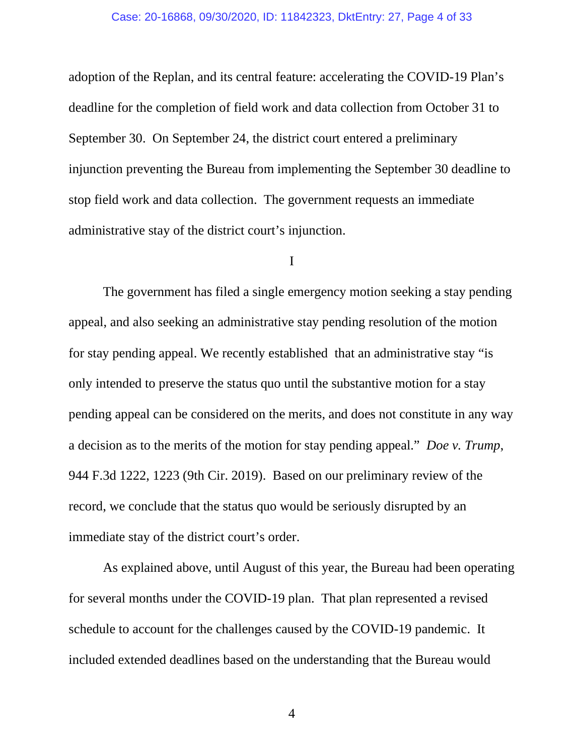#### Case: 20-16868, 09/30/2020, ID: 11842323, DktEntry: 27, Page 4 of 33

adoption of the Replan, and its central feature: accelerating the COVID-19 Plan's deadline for the completion of field work and data collection from October 31 to September 30. On September 24, the district court entered a preliminary injunction preventing the Bureau from implementing the September 30 deadline to stop field work and data collection. The government requests an immediate administrative stay of the district court's injunction.

#### I

The government has filed a single emergency motion seeking a stay pending appeal, and also seeking an administrative stay pending resolution of the motion for stay pending appeal. We recently established that an administrative stay "is only intended to preserve the status quo until the substantive motion for a stay pending appeal can be considered on the merits, and does not constitute in any way a decision as to the merits of the motion for stay pending appeal." *Doe v. Trump*, 944 F.3d 1222, 1223 (9th Cir. 2019). Based on our preliminary review of the record, we conclude that the status quo would be seriously disrupted by an immediate stay of the district court's order.

As explained above, until August of this year, the Bureau had been operating for several months under the COVID-19 plan. That plan represented a revised schedule to account for the challenges caused by the COVID-19 pandemic. It included extended deadlines based on the understanding that the Bureau would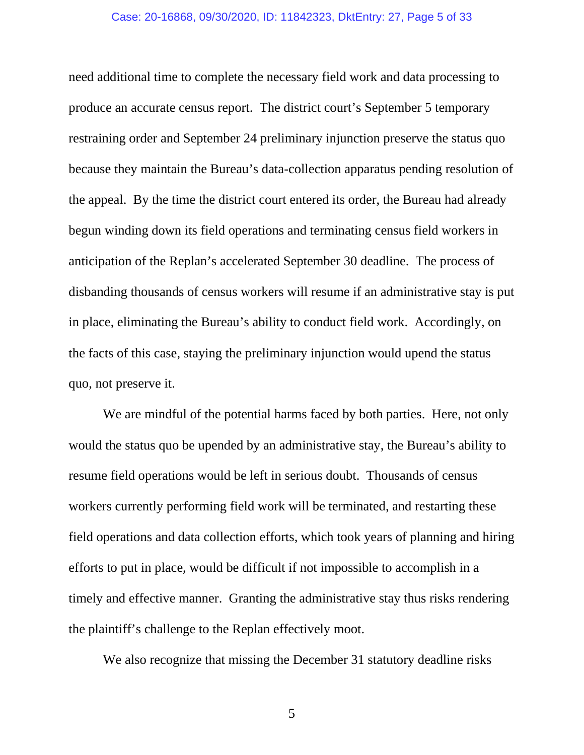#### Case: 20-16868, 09/30/2020, ID: 11842323, DktEntry: 27, Page 5 of 33

need additional time to complete the necessary field work and data processing to produce an accurate census report. The district court's September 5 temporary restraining order and September 24 preliminary injunction preserve the status quo because they maintain the Bureau's data-collection apparatus pending resolution of the appeal. By the time the district court entered its order, the Bureau had already begun winding down its field operations and terminating census field workers in anticipation of the Replan's accelerated September 30 deadline. The process of disbanding thousands of census workers will resume if an administrative stay is put in place, eliminating the Bureau's ability to conduct field work. Accordingly, on the facts of this case, staying the preliminary injunction would upend the status quo, not preserve it.

We are mindful of the potential harms faced by both parties. Here, not only would the status quo be upended by an administrative stay, the Bureau's ability to resume field operations would be left in serious doubt. Thousands of census workers currently performing field work will be terminated, and restarting these field operations and data collection efforts, which took years of planning and hiring efforts to put in place, would be difficult if not impossible to accomplish in a timely and effective manner. Granting the administrative stay thus risks rendering the plaintiff's challenge to the Replan effectively moot.

We also recognize that missing the December 31 statutory deadline risks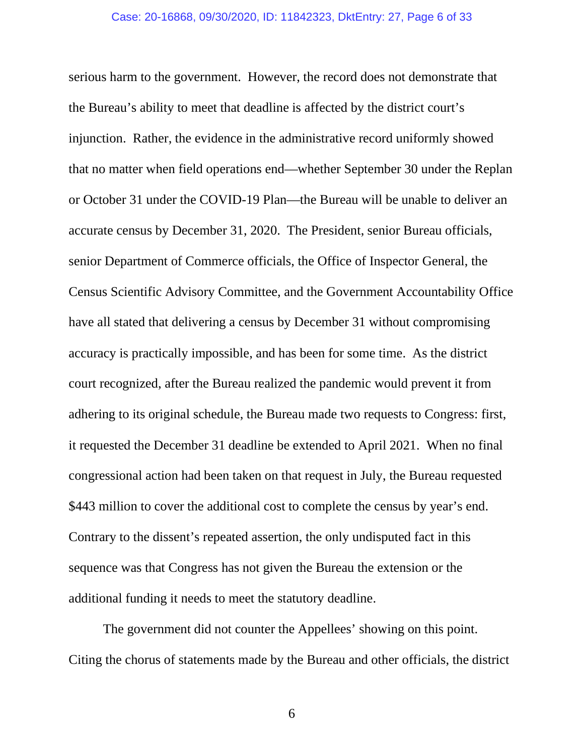serious harm to the government. However, the record does not demonstrate that the Bureau's ability to meet that deadline is affected by the district court's injunction. Rather, the evidence in the administrative record uniformly showed that no matter when field operations end—whether September 30 under the Replan or October 31 under the COVID-19 Plan—the Bureau will be unable to deliver an accurate census by December 31, 2020. The President, senior Bureau officials, senior Department of Commerce officials, the Office of Inspector General, the Census Scientific Advisory Committee, and the Government Accountability Office have all stated that delivering a census by December 31 without compromising accuracy is practically impossible, and has been for some time. As the district court recognized, after the Bureau realized the pandemic would prevent it from adhering to its original schedule, the Bureau made two requests to Congress: first, it requested the December 31 deadline be extended to April 2021. When no final congressional action had been taken on that request in July, the Bureau requested \$443 million to cover the additional cost to complete the census by year's end. Contrary to the dissent's repeated assertion, the only undisputed fact in this sequence was that Congress has not given the Bureau the extension or the additional funding it needs to meet the statutory deadline.

The government did not counter the Appellees' showing on this point. Citing the chorus of statements made by the Bureau and other officials, the district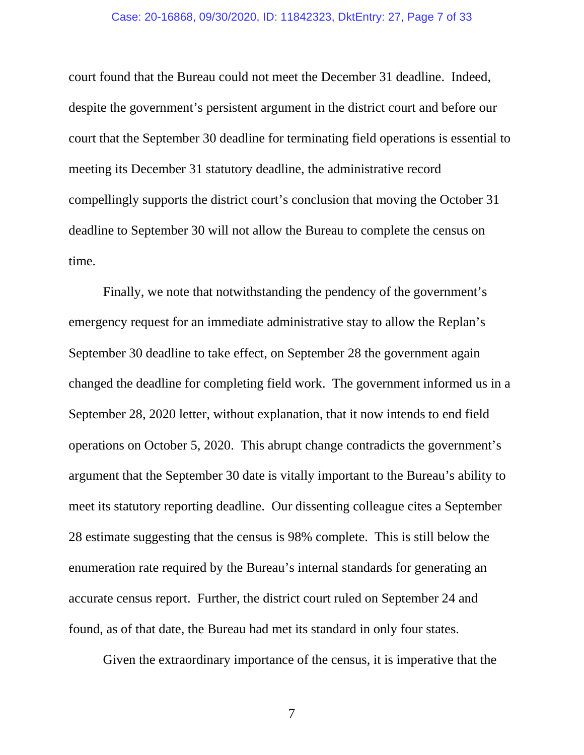#### Case: 20-16868, 09/30/2020, ID: 11842323, DktEntry: 27, Page 7 of 33

court found that the Bureau could not meet the December 31 deadline. Indeed, despite the government's persistent argument in the district court and before our court that the September 30 deadline for terminating field operations is essential to meeting its December 31 statutory deadline, the administrative record compellingly supports the district court's conclusion that moving the October 31 deadline to September 30 will not allow the Bureau to complete the census on time.

Finally, we note that notwithstanding the pendency of the government's emergency request for an immediate administrative stay to allow the Replan's September 30 deadline to take effect, on September 28 the government again changed the deadline for completing field work. The government informed us in a September 28, 2020 letter, without explanation, that it now intends to end field operations on October 5, 2020. This abrupt change contradicts the government's argument that the September 30 date is vitally important to the Bureau's ability to meet its statutory reporting deadline. Our dissenting colleague cites a September 28 estimate suggesting that the census is 98% complete. This is still below the enumeration rate required by the Bureau's internal standards for generating an accurate census report. Further, the district court ruled on September 24 and found, as of that date, the Bureau had met its standard in only four states.

Given the extraordinary importance of the census, it is imperative that the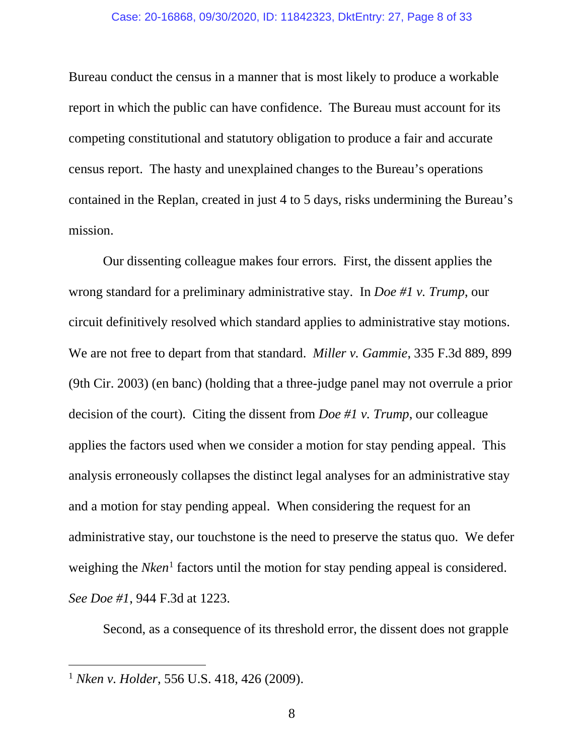#### Case: 20-16868, 09/30/2020, ID: 11842323, DktEntry: 27, Page 8 of 33

Bureau conduct the census in a manner that is most likely to produce a workable report in which the public can have confidence. The Bureau must account for its competing constitutional and statutory obligation to produce a fair and accurate census report. The hasty and unexplained changes to the Bureau's operations contained in the Replan, created in just 4 to 5 days, risks undermining the Bureau's mission.

Our dissenting colleague makes four errors. First, the dissent applies the wrong standard for a preliminary administrative stay. In *Doe #1 v. Trump*, our circuit definitively resolved which standard applies to administrative stay motions. We are not free to depart from that standard. *Miller v. Gammie*, 335 F.3d 889, 899 (9th Cir. 2003) (en banc) (holding that a three-judge panel may not overrule a prior decision of the court). Citing the dissent from *Doe #1 v. Trump*, our colleague applies the factors used when we consider a motion for stay pending appeal. This analysis erroneously collapses the distinct legal analyses for an administrative stay and a motion for stay pending appeal. When considering the request for an administrative stay, our touchstone is the need to preserve the status quo. We defer weighing the *Nken*<sup>[1](#page-7-0)</sup> factors until the motion for stay pending appeal is considered. *See Doe #1*, 944 F.3d at 1223.

Second, as a consequence of its threshold error, the dissent does not grapple

<span id="page-7-0"></span><sup>1</sup> *Nken v. Holder*, 556 U.S. 418, 426 (2009).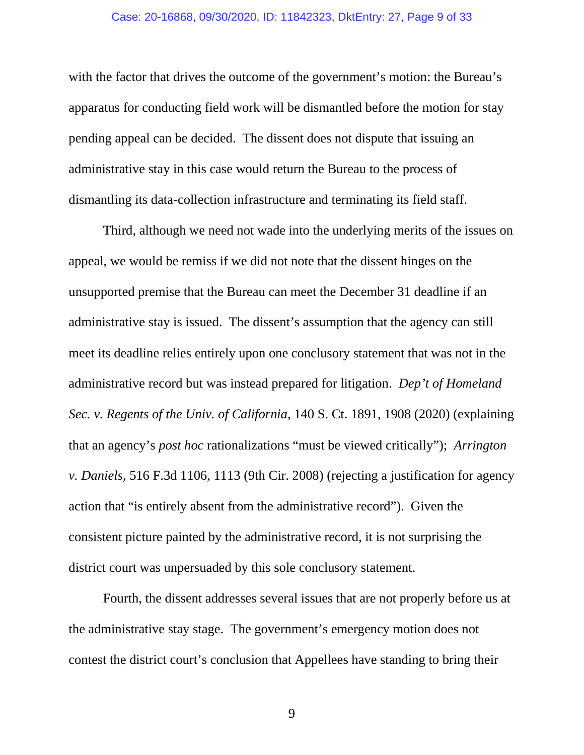#### Case: 20-16868, 09/30/2020, ID: 11842323, DktEntry: 27, Page 9 of 33

with the factor that drives the outcome of the government's motion: the Bureau's apparatus for conducting field work will be dismantled before the motion for stay pending appeal can be decided. The dissent does not dispute that issuing an administrative stay in this case would return the Bureau to the process of dismantling its data-collection infrastructure and terminating its field staff.

Third, although we need not wade into the underlying merits of the issues on appeal, we would be remiss if we did not note that the dissent hinges on the unsupported premise that the Bureau can meet the December 31 deadline if an administrative stay is issued. The dissent's assumption that the agency can still meet its deadline relies entirely upon one conclusory statement that was not in the administrative record but was instead prepared for litigation. *Dep't of Homeland Sec. v. Regents of the Univ. of California*, 140 S. Ct. 1891, 1908 (2020) (explaining that an agency's *post hoc* rationalizations "must be viewed critically"); *Arrington v. Daniels*, 516 F.3d 1106, 1113 (9th Cir. 2008) (rejecting a justification for agency action that "is entirely absent from the administrative record"). Given the consistent picture painted by the administrative record, it is not surprising the district court was unpersuaded by this sole conclusory statement.

Fourth, the dissent addresses several issues that are not properly before us at the administrative stay stage. The government's emergency motion does not contest the district court's conclusion that Appellees have standing to bring their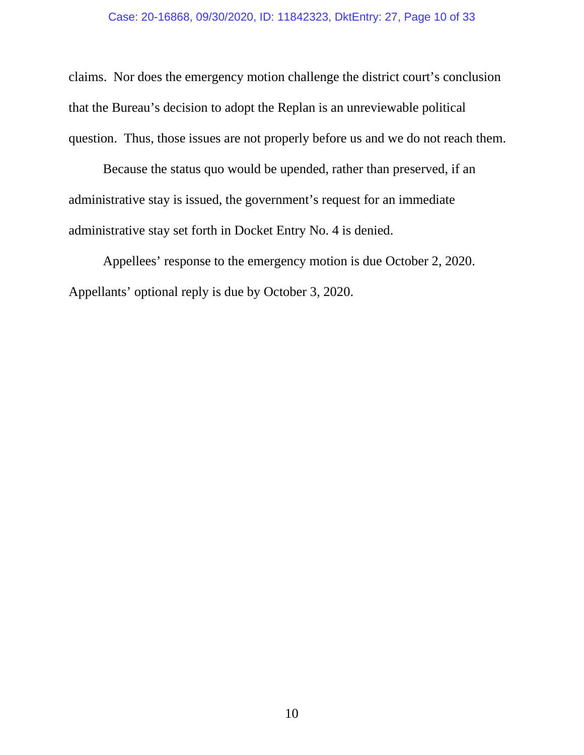## Case: 20-16868, 09/30/2020, ID: 11842323, DktEntry: 27, Page 10 of 33

claims. Nor does the emergency motion challenge the district court's conclusion that the Bureau's decision to adopt the Replan is an unreviewable political question. Thus, those issues are not properly before us and we do not reach them.

Because the status quo would be upended, rather than preserved, if an administrative stay is issued, the government's request for an immediate administrative stay set forth in Docket Entry No. 4 is denied.

Appellees' response to the emergency motion is due October 2, 2020. Appellants' optional reply is due by October 3, 2020.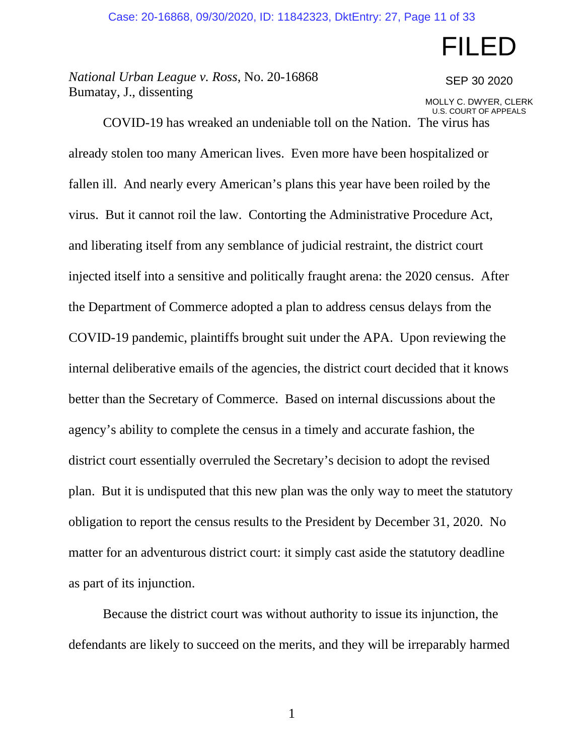# FILED

SEP 30 2020

*National Urban League v. Ross*, No. 20-16868 Bumatay, J., dissenting

MOLLY C. DWYER, CLERK U.S. COURT OF APPEALS

COVID-19 has wreaked an undeniable toll on the Nation. The virus has already stolen too many American lives. Even more have been hospitalized or fallen ill. And nearly every American's plans this year have been roiled by the virus. But it cannot roil the law. Contorting the Administrative Procedure Act, and liberating itself from any semblance of judicial restraint, the district court injected itself into a sensitive and politically fraught arena: the 2020 census. After the Department of Commerce adopted a plan to address census delays from the COVID-19 pandemic, plaintiffs brought suit under the APA. Upon reviewing the internal deliberative emails of the agencies, the district court decided that it knows better than the Secretary of Commerce. Based on internal discussions about the agency's ability to complete the census in a timely and accurate fashion, the district court essentially overruled the Secretary's decision to adopt the revised plan. But it is undisputed that this new plan was the only way to meet the statutory obligation to report the census results to the President by December 31, 2020. No matter for an adventurous district court: it simply cast aside the statutory deadline as part of its injunction.

Because the district court was without authority to issue its injunction, the defendants are likely to succeed on the merits, and they will be irreparably harmed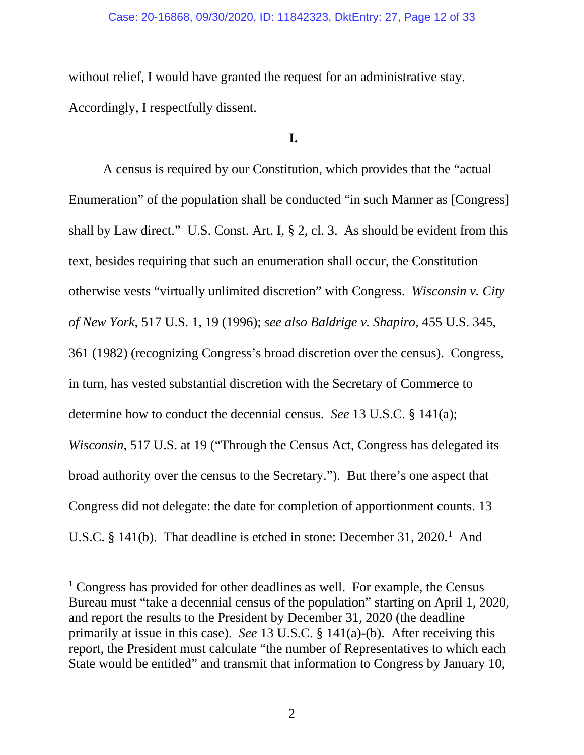#### Case: 20-16868, 09/30/2020, ID: 11842323, DktEntry: 27, Page 12 of 33

without relief, I would have granted the request for an administrative stay. Accordingly, I respectfully dissent.

# **I.**

A census is required by our Constitution, which provides that the "actual Enumeration" of the population shall be conducted "in such Manner as [Congress] shall by Law direct." U.S. Const. Art. I, § 2, cl. 3. As should be evident from this text, besides requiring that such an enumeration shall occur, the Constitution otherwise vests "virtually unlimited discretion" with Congress. *Wisconsin v. City of New York*, 517 U.S. 1, 19 (1996); *see also Baldrige v. Shapiro*, 455 U.S. 345, 361 (1982) (recognizing Congress's broad discretion over the census). Congress, in turn, has vested substantial discretion with the Secretary of Commerce to determine how to conduct the decennial census. *See* 13 U.S.C. § 141(a); *Wisconsin*, 517 U.S. at 19 ("Through the Census Act, Congress has delegated its broad authority over the census to the Secretary."). But there's one aspect that Congress did not delegate: the date for completion of apportionment counts. 13 U.S.C. § [1](#page-11-0)41(b). That deadline is etched in stone: December 31, 2020.<sup>1</sup> And

<span id="page-11-0"></span><sup>&</sup>lt;sup>1</sup> Congress has provided for other deadlines as well. For example, the Census Bureau must "take a decennial census of the population" starting on April 1, 2020, and report the results to the President by December 31, 2020 (the deadline primarily at issue in this case). *See* 13 U.S.C. § 141(a)-(b). After receiving this report, the President must calculate "the number of Representatives to which each State would be entitled" and transmit that information to Congress by January 10,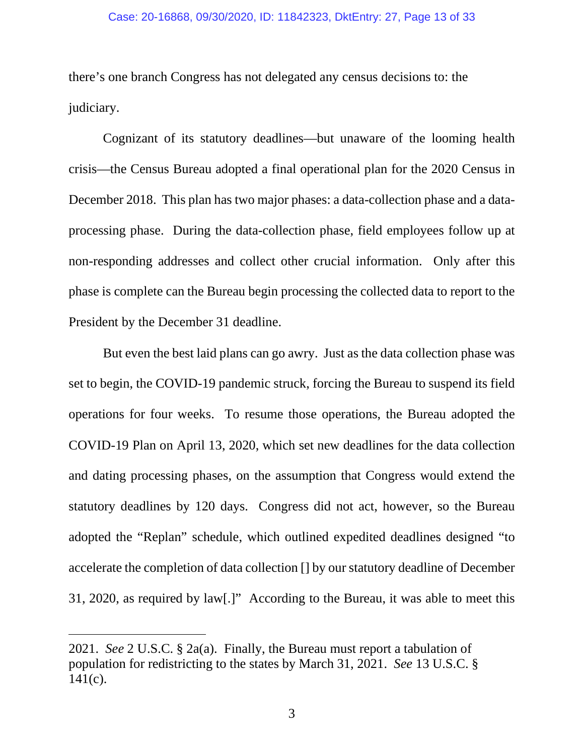#### Case: 20-16868, 09/30/2020, ID: 11842323, DktEntry: 27, Page 13 of 33

there's one branch Congress has not delegated any census decisions to: the judiciary.

Cognizant of its statutory deadlines—but unaware of the looming health crisis—the Census Bureau adopted a final operational plan for the 2020 Census in December 2018. This plan has two major phases: a data-collection phase and a dataprocessing phase. During the data-collection phase, field employees follow up at non-responding addresses and collect other crucial information. Only after this phase is complete can the Bureau begin processing the collected data to report to the President by the December 31 deadline.

But even the best laid plans can go awry. Just as the data collection phase was set to begin, the COVID-19 pandemic struck, forcing the Bureau to suspend its field operations for four weeks. To resume those operations, the Bureau adopted the COVID-19 Plan on April 13, 2020, which set new deadlines for the data collection and dating processing phases, on the assumption that Congress would extend the statutory deadlines by 120 days. Congress did not act, however, so the Bureau adopted the "Replan" schedule, which outlined expedited deadlines designed "to accelerate the completion of data collection [] by our statutory deadline of December 31, 2020, as required by law[.]" According to the Bureau, it was able to meet this

<sup>2021.</sup> *See* 2 U.S.C. § 2a(a). Finally, the Bureau must report a tabulation of population for redistricting to the states by March 31, 2021. *See* 13 U.S.C. §  $141(c)$ .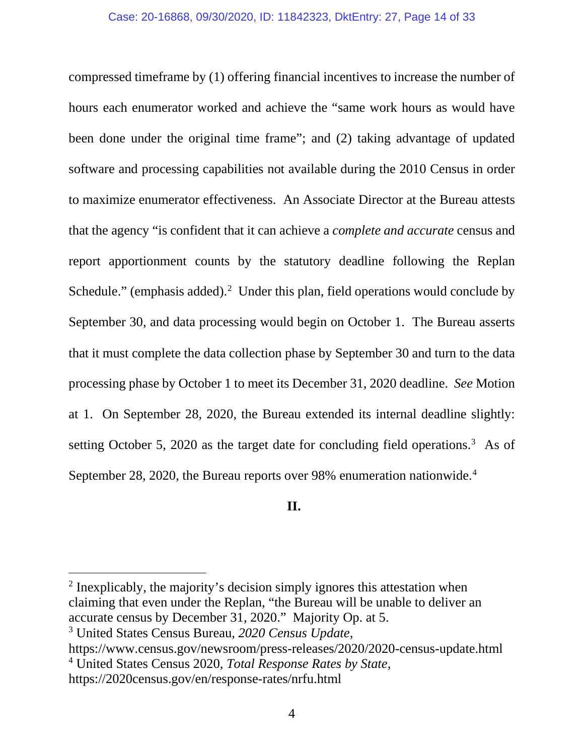compressed timeframe by (1) offering financial incentives to increase the number of hours each enumerator worked and achieve the "same work hours as would have been done under the original time frame"; and (2) taking advantage of updated software and processing capabilities not available during the 2010 Census in order to maximize enumerator effectiveness. An Associate Director at the Bureau attests that the agency "is confident that it can achieve a *complete and accurate* census and report apportionment counts by the statutory deadline following the Replan Schedule." (emphasis added). $2$  Under this plan, field operations would conclude by September 30, and data processing would begin on October 1. The Bureau asserts that it must complete the data collection phase by September 30 and turn to the data processing phase by October 1 to meet its December 31, 2020 deadline. *See* Motion at 1. On September 28, 2020, the Bureau extended its internal deadline slightly: setting October 5, 2020 as the target date for concluding field operations.<sup>[3](#page-13-1)</sup> As of September 28, 2020, the Bureau reports over 98% enumeration nationwide.<sup>[4](#page-13-2)</sup>

# **II.**

<span id="page-13-0"></span><sup>&</sup>lt;sup>2</sup> Inexplicably, the majority's decision simply ignores this attestation when claiming that even under the Replan, "the Bureau will be unable to deliver an accurate census by December 31, 2020." Majority Op. at 5.

<span id="page-13-1"></span><sup>3</sup> United States Census Bureau, *2020 Census Update*,

<span id="page-13-2"></span>https://www.census.gov/newsroom/press-releases/2020/2020-census-update.html <sup>4</sup> United States Census 2020, *Total Response Rates by State*,

https://2020census.gov/en/response-rates/nrfu.html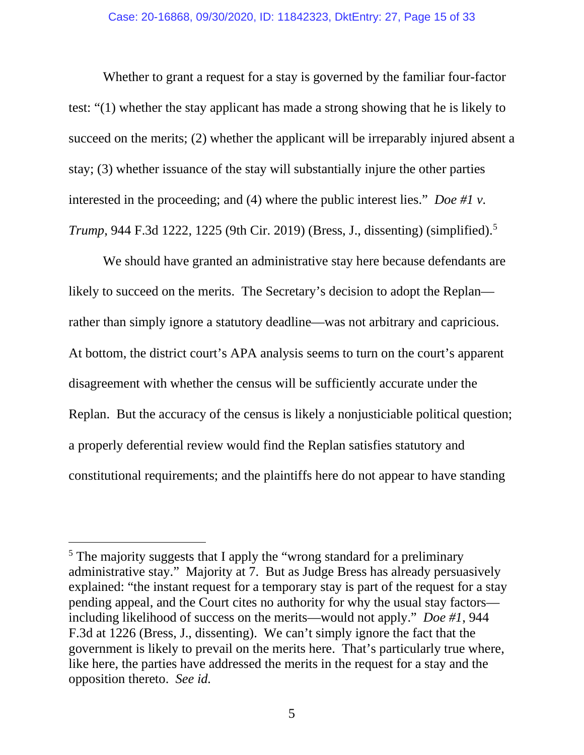#### Case: 20-16868, 09/30/2020, ID: 11842323, DktEntry: 27, Page 15 of 33

Whether to grant a request for a stay is governed by the familiar four-factor test: "(1) whether the stay applicant has made a strong showing that he is likely to succeed on the merits; (2) whether the applicant will be irreparably injured absent a stay; (3) whether issuance of the stay will substantially injure the other parties interested in the proceeding; and (4) where the public interest lies." *Doe #1 v. Trump*, 944 F.3d 1222, 1225 (9th Cir. 2019) (Bress, J., dissenting) (simplified).[5](#page-14-0)

We should have granted an administrative stay here because defendants are likely to succeed on the merits. The Secretary's decision to adopt the Replan rather than simply ignore a statutory deadline—was not arbitrary and capricious. At bottom, the district court's APA analysis seems to turn on the court's apparent disagreement with whether the census will be sufficiently accurate under the Replan. But the accuracy of the census is likely a nonjusticiable political question; a properly deferential review would find the Replan satisfies statutory and constitutional requirements; and the plaintiffs here do not appear to have standing

<span id="page-14-0"></span><sup>&</sup>lt;sup>5</sup> The majority suggests that I apply the "wrong standard for a preliminary administrative stay." Majority at 7. But as Judge Bress has already persuasively explained: "the instant request for a temporary stay is part of the request for a stay pending appeal, and the Court cites no authority for why the usual stay factors including likelihood of success on the merits—would not apply." *Doe #1*, 944 F.3d at 1226 (Bress, J., dissenting). We can't simply ignore the fact that the government is likely to prevail on the merits here. That's particularly true where, like here, the parties have addressed the merits in the request for a stay and the opposition thereto. *See id.*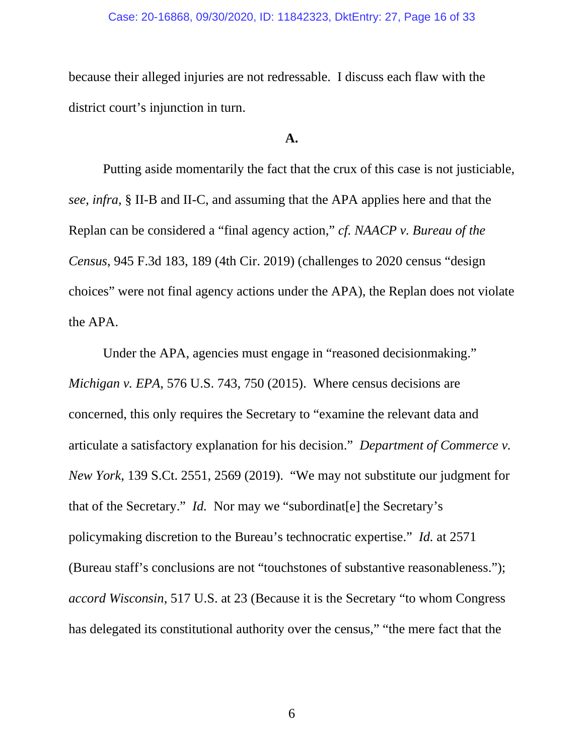#### Case: 20-16868, 09/30/2020, ID: 11842323, DktEntry: 27, Page 16 of 33

because their alleged injuries are not redressable. I discuss each flaw with the district court's injunction in turn.

# **A.**

Putting aside momentarily the fact that the crux of this case is not justiciable, *see, infra,* § II-B and II-C, and assuming that the APA applies here and that the Replan can be considered a "final agency action," *cf. NAACP v. Bureau of the Census*, 945 F.3d 183, 189 (4th Cir. 2019) (challenges to 2020 census "design choices" were not final agency actions under the APA), the Replan does not violate the APA.

Under the APA, agencies must engage in "reasoned decisionmaking." *Michigan v. EPA*, 576 U.S. 743, 750 (2015).Where census decisions are concerned, this only requires the Secretary to "examine the relevant data and articulate a satisfactory explanation for his decision." *Department of Commerce v. New York*, 139 S.Ct. 2551, 2569 (2019). "We may not substitute our judgment for that of the Secretary." *Id.* Nor may we "subordinat[e] the Secretary's policymaking discretion to the Bureau's technocratic expertise." *Id.* at 2571 (Bureau staff's conclusions are not "touchstones of substantive reasonableness."); *accord Wisconsin*, 517 U.S. at 23 (Because it is the Secretary "to whom Congress has delegated its constitutional authority over the census," "the mere fact that the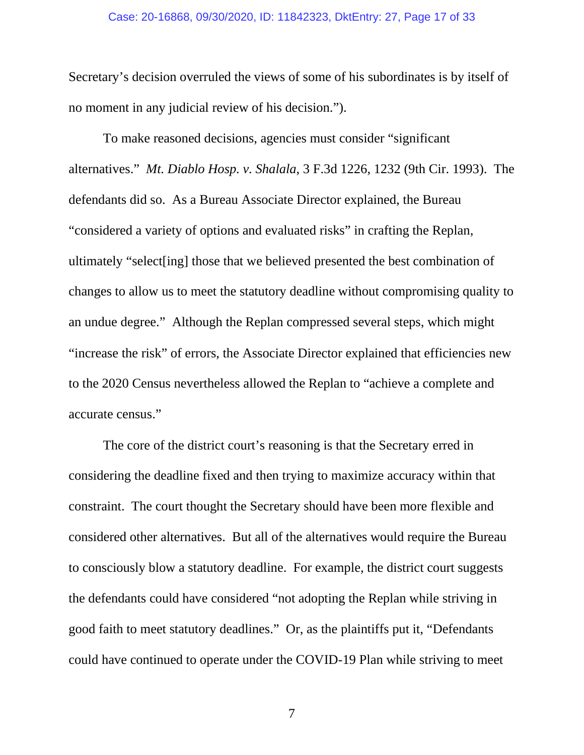#### Case: 20-16868, 09/30/2020, ID: 11842323, DktEntry: 27, Page 17 of 33

Secretary's decision overruled the views of some of his subordinates is by itself of no moment in any judicial review of his decision.").

To make reasoned decisions, agencies must consider "significant alternatives." *Mt. Diablo Hosp. v. Shalala*, 3 F.3d 1226, 1232 (9th Cir. 1993). The defendants did so. As a Bureau Associate Director explained, the Bureau "considered a variety of options and evaluated risks" in crafting the Replan, ultimately "select[ing] those that we believed presented the best combination of changes to allow us to meet the statutory deadline without compromising quality to an undue degree." Although the Replan compressed several steps, which might "increase the risk" of errors, the Associate Director explained that efficiencies new to the 2020 Census nevertheless allowed the Replan to "achieve a complete and accurate census."

The core of the district court's reasoning is that the Secretary erred in considering the deadline fixed and then trying to maximize accuracy within that constraint. The court thought the Secretary should have been more flexible and considered other alternatives. But all of the alternatives would require the Bureau to consciously blow a statutory deadline. For example, the district court suggests the defendants could have considered "not adopting the Replan while striving in good faith to meet statutory deadlines." Or, as the plaintiffs put it, "Defendants could have continued to operate under the COVID-19 Plan while striving to meet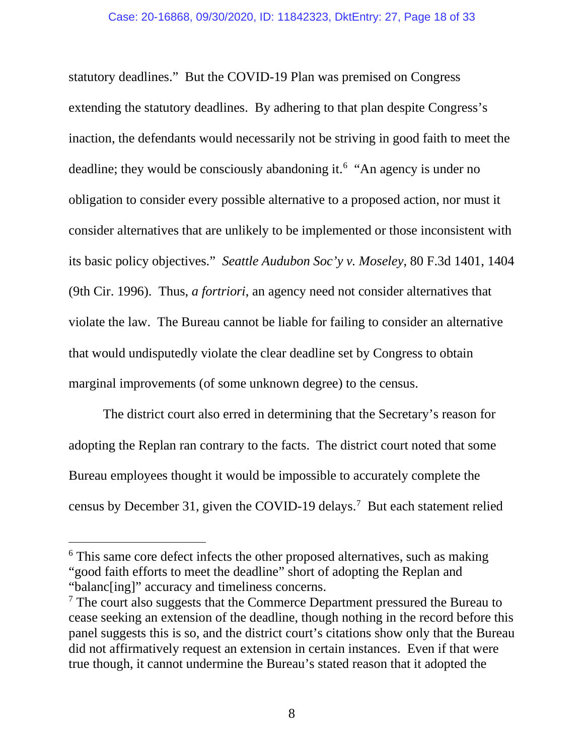statutory deadlines." But the COVID-19 Plan was premised on Congress extending the statutory deadlines. By adhering to that plan despite Congress's inaction, the defendants would necessarily not be striving in good faith to meet the deadline; they would be consciously abandoning it.<sup>[6](#page-17-0)</sup> "An agency is under no obligation to consider every possible alternative to a proposed action, nor must it consider alternatives that are unlikely to be implemented or those inconsistent with its basic policy objectives." *Seattle Audubon Soc'y v. Moseley*, 80 F.3d 1401, 1404 (9th Cir. 1996). Thus, *a fortriori*, an agency need not consider alternatives that violate the law. The Bureau cannot be liable for failing to consider an alternative that would undisputedly violate the clear deadline set by Congress to obtain marginal improvements (of some unknown degree) to the census.

The district court also erred in determining that the Secretary's reason for adopting the Replan ran contrary to the facts. The district court noted that some Bureau employees thought it would be impossible to accurately complete the census by December 31, given the COVID-19 delays.<sup>[7](#page-17-1)</sup> But each statement relied

<span id="page-17-0"></span><sup>&</sup>lt;sup>6</sup> This same core defect infects the other proposed alternatives, such as making "good faith efforts to meet the deadline" short of adopting the Replan and "balanc[ing]" accuracy and timeliness concerns.

<span id="page-17-1"></span> $\alpha$ <sup>7</sup> The court also suggests that the Commerce Department pressured the Bureau to cease seeking an extension of the deadline, though nothing in the record before this panel suggests this is so, and the district court's citations show only that the Bureau did not affirmatively request an extension in certain instances. Even if that were true though, it cannot undermine the Bureau's stated reason that it adopted the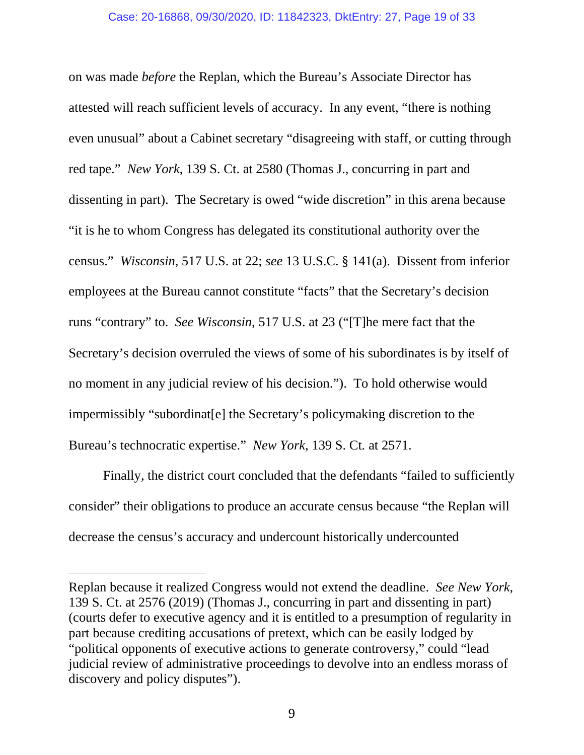on was made *before* the Replan, which the Bureau's Associate Director has attested will reach sufficient levels of accuracy. In any event, "there is nothing even unusual" about a Cabinet secretary "disagreeing with staff, or cutting through red tape." *New York*, 139 S. Ct. at 2580 (Thomas J., concurring in part and dissenting in part). The Secretary is owed "wide discretion" in this arena because "it is he to whom Congress has delegated its constitutional authority over the census." *Wisconsin*, 517 U.S. at 22; *see* 13 U.S.C. § 141(a). Dissent from inferior employees at the Bureau cannot constitute "facts" that the Secretary's decision runs "contrary" to. *See Wisconsin*, 517 U.S. at 23 ("[T]he mere fact that the Secretary's decision overruled the views of some of his subordinates is by itself of no moment in any judicial review of his decision."). To hold otherwise would impermissibly "subordinat[e] the Secretary's policymaking discretion to the Bureau's technocratic expertise." *New York*, 139 S. Ct*.* at 2571.

Finally, the district court concluded that the defendants "failed to sufficiently consider" their obligations to produce an accurate census because "the Replan will decrease the census's accuracy and undercount historically undercounted

Replan because it realized Congress would not extend the deadline. *See New York*, 139 S. Ct. at 2576 (2019) (Thomas J., concurring in part and dissenting in part) (courts defer to executive agency and it is entitled to a presumption of regularity in part because crediting accusations of pretext, which can be easily lodged by "political opponents of executive actions to generate controversy," could "lead judicial review of administrative proceedings to devolve into an endless morass of discovery and policy disputes").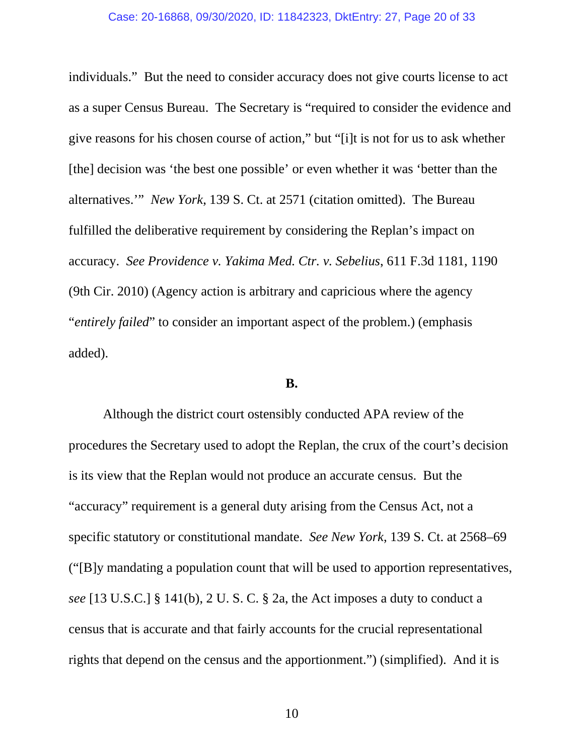#### Case: 20-16868, 09/30/2020, ID: 11842323, DktEntry: 27, Page 20 of 33

individuals." But the need to consider accuracy does not give courts license to act as a super Census Bureau. The Secretary is "required to consider the evidence and give reasons for his chosen course of action," but "[i]t is not for us to ask whether [the] decision was 'the best one possible' or even whether it was 'better than the alternatives.'" *New York*, 139 S. Ct. at 2571 (citation omitted). The Bureau fulfilled the deliberative requirement by considering the Replan's impact on accuracy. *See Providence v. Yakima Med. Ctr. v. Sebelius*, 611 F.3d 1181, 1190 (9th Cir. 2010) (Agency action is arbitrary and capricious where the agency "*entirely failed*" to consider an important aspect of the problem.) (emphasis added).

## **B.**

Although the district court ostensibly conducted APA review of the procedures the Secretary used to adopt the Replan, the crux of the court's decision is its view that the Replan would not produce an accurate census. But the "accuracy" requirement is a general duty arising from the Census Act, not a specific statutory or constitutional mandate. *See New York*, 139 S. Ct. at 2568–69 ("[B]y mandating a population count that will be used to apportion representatives, *see* [13 U.S.C.] § 141(b), 2 U. S. C. § 2a, the Act imposes a duty to conduct a census that is accurate and that fairly accounts for the crucial representational rights that depend on the census and the apportionment.") (simplified). And it is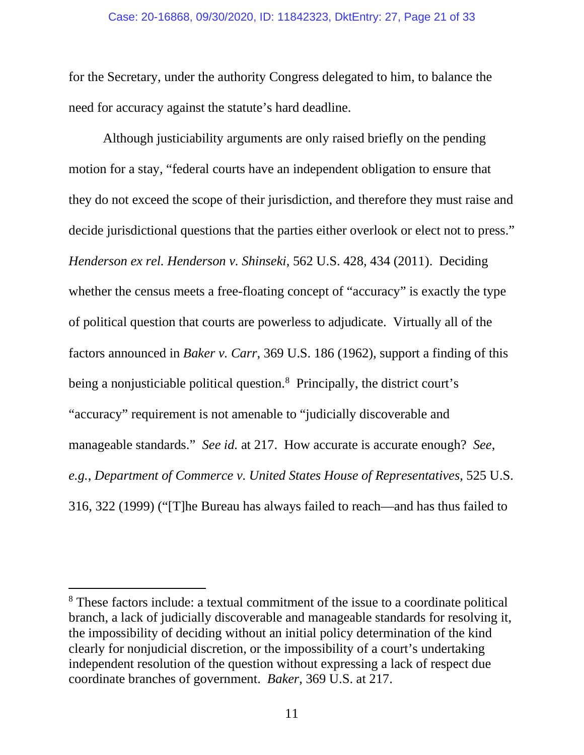#### Case: 20-16868, 09/30/2020, ID: 11842323, DktEntry: 27, Page 21 of 33

for the Secretary, under the authority Congress delegated to him, to balance the need for accuracy against the statute's hard deadline.

Although justiciability arguments are only raised briefly on the pending motion for a stay, "federal courts have an independent obligation to ensure that they do not exceed the scope of their jurisdiction, and therefore they must raise and decide jurisdictional questions that the parties either overlook or elect not to press." *Henderson ex rel. Henderson v. Shinseki*, 562 U.S. 428, 434 (2011). Deciding whether the census meets a free-floating concept of "accuracy" is exactly the type of political question that courts are powerless to adjudicate. Virtually all of the factors announced in *Baker v. Carr*, 369 U.S. 186 (1962), support a finding of this being a nonjusticiable political question.<sup>[8](#page-20-0)</sup> Principally, the district court's "accuracy" requirement is not amenable to "judicially discoverable and manageable standards." *See id.* at 217. How accurate is accurate enough? *See*, *e.g.*, *Department of Commerce v. United States House of Representatives*, 525 U.S. 316, 322 (1999) ("[T]he Bureau has always failed to reach—and has thus failed to

<span id="page-20-0"></span><sup>8</sup> These factors include: a textual commitment of the issue to a coordinate political branch, a lack of judicially discoverable and manageable standards for resolving it, the impossibility of deciding without an initial policy determination of the kind clearly for nonjudicial discretion, or the impossibility of a court's undertaking independent resolution of the question without expressing a lack of respect due coordinate branches of government. *Baker*, 369 U.S. at 217.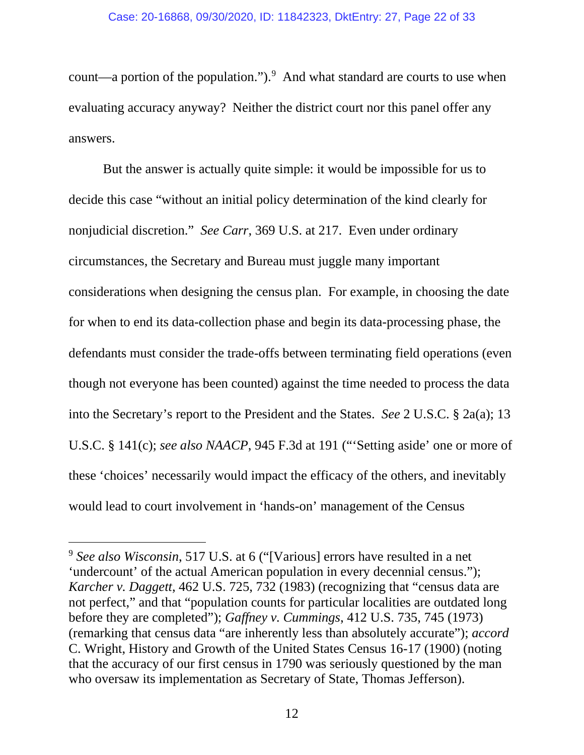count—a portion of the population."). $9$  And what standard are courts to use when evaluating accuracy anyway? Neither the district court nor this panel offer any answers.

But the answer is actually quite simple: it would be impossible for us to decide this case "without an initial policy determination of the kind clearly for nonjudicial discretion." *See Carr*, 369 U.S. at 217. Even under ordinary circumstances, the Secretary and Bureau must juggle many important considerations when designing the census plan. For example, in choosing the date for when to end its data-collection phase and begin its data-processing phase, the defendants must consider the trade-offs between terminating field operations (even though not everyone has been counted) against the time needed to process the data into the Secretary's report to the President and the States. *See* 2 U.S.C. § 2a(a); 13 U.S.C. § 141(c); *see also NAACP*, 945 F.3d at 191 ("'Setting aside' one or more of these 'choices' necessarily would impact the efficacy of the others, and inevitably would lead to court involvement in 'hands-on' management of the Census

<span id="page-21-0"></span><sup>9</sup> *See also Wisconsin*, 517 U.S. at 6 ("[Various] errors have resulted in a net 'undercount' of the actual American population in every decennial census."); *Karcher v. Daggett*, 462 U.S. 725, 732 (1983) (recognizing that "census data are not perfect," and that "population counts for particular localities are outdated long before they are completed"); *Gaffney v. Cummings*, 412 U.S. 735, 745 (1973) (remarking that census data "are inherently less than absolutely accurate"); *accord* C. Wright, History and Growth of the United States Census 16-17 (1900) (noting that the accuracy of our first census in 1790 was seriously questioned by the man who oversaw its implementation as Secretary of State, Thomas Jefferson).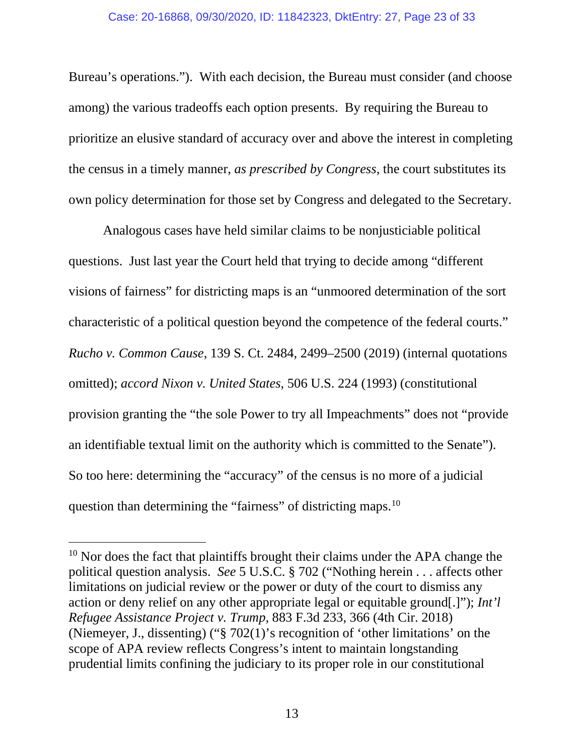Bureau's operations."). With each decision, the Bureau must consider (and choose among) the various tradeoffs each option presents. By requiring the Bureau to prioritize an elusive standard of accuracy over and above the interest in completing the census in a timely manner, *as prescribed by Congress*, the court substitutes its own policy determination for those set by Congress and delegated to the Secretary.

Analogous cases have held similar claims to be nonjusticiable political questions. Just last year the Court held that trying to decide among "different visions of fairness" for districting maps is an "unmoored determination of the sort characteristic of a political question beyond the competence of the federal courts." *Rucho v. Common Cause*, 139 S. Ct. 2484, 2499–2500 (2019) (internal quotations omitted); *accord Nixon v. United States*, 506 U.S. 224 (1993) (constitutional provision granting the "the sole Power to try all Impeachments" does not "provide an identifiable textual limit on the authority which is committed to the Senate"). So too here: determining the "accuracy" of the census is no more of a judicial question than determining the "fairness" of districting maps.<sup>[10](#page-22-0)</sup>

<span id="page-22-0"></span> $10$  Nor does the fact that plaintiffs brought their claims under the APA change the political question analysis. *See* 5 U.S.C. § 702 ("Nothing herein . . . affects other limitations on judicial review or the power or duty of the court to dismiss any action or deny relief on any other appropriate legal or equitable ground[.]"); *Int'l Refugee Assistance Project v. Trump,* 883 F.3d 233, 366 (4th Cir. 2018) (Niemeyer, J., dissenting) ("§ 702(1)'s recognition of 'other limitations' on the scope of APA review reflects Congress's intent to maintain longstanding prudential limits confining the judiciary to its proper role in our constitutional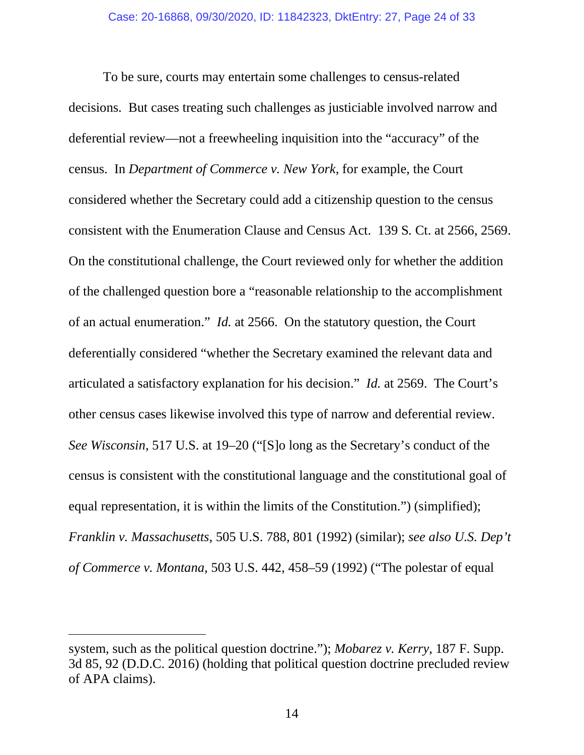To be sure, courts may entertain some challenges to census-related decisions. But cases treating such challenges as justiciable involved narrow and deferential review—not a freewheeling inquisition into the "accuracy" of the census. In *Department of Commerce v. New York*, for example, the Court considered whether the Secretary could add a citizenship question to the census consistent with the Enumeration Clause and Census Act. 139 S*.* Ct. at 2566, 2569. On the constitutional challenge, the Court reviewed only for whether the addition of the challenged question bore a "reasonable relationship to the accomplishment of an actual enumeration." *Id.* at 2566. On the statutory question, the Court deferentially considered "whether the Secretary examined the relevant data and articulated a satisfactory explanation for his decision." *Id.* at 2569. The Court's other census cases likewise involved this type of narrow and deferential review. *See Wisconsin*, 517 U.S. at 19–20 ("[S]o long as the Secretary's conduct of the census is consistent with the constitutional language and the constitutional goal of equal representation, it is within the limits of the Constitution.") (simplified); *Franklin v. Massachusetts*, 505 U.S. 788, 801 (1992) (similar); *see also U.S. Dep't of Commerce v. Montana*, 503 U.S. 442, 458–59 (1992) ("The polestar of equal

system, such as the political question doctrine."); *Mobarez v. Kerry*, 187 F. Supp. 3d 85, 92 (D.D.C. 2016) (holding that political question doctrine precluded review of APA claims).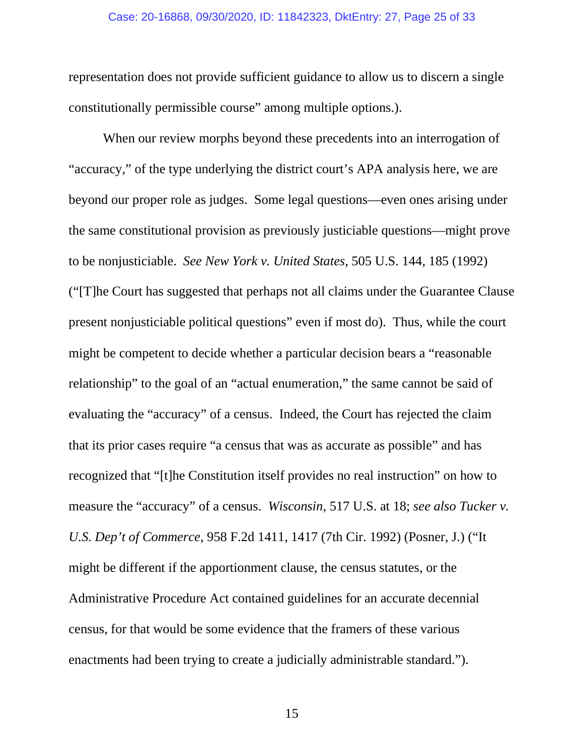#### Case: 20-16868, 09/30/2020, ID: 11842323, DktEntry: 27, Page 25 of 33

representation does not provide sufficient guidance to allow us to discern a single constitutionally permissible course" among multiple options.).

When our review morphs beyond these precedents into an interrogation of "accuracy," of the type underlying the district court's APA analysis here, we are beyond our proper role as judges. Some legal questions—even ones arising under the same constitutional provision as previously justiciable questions—might prove to be nonjusticiable. *See New York v. United States*, 505 U.S. 144, 185 (1992) ("[T]he Court has suggested that perhaps not all claims under the Guarantee Clause present nonjusticiable political questions" even if most do). Thus, while the court might be competent to decide whether a particular decision bears a "reasonable relationship" to the goal of an "actual enumeration," the same cannot be said of evaluating the "accuracy" of a census. Indeed, the Court has rejected the claim that its prior cases require "a census that was as accurate as possible" and has recognized that "[t]he Constitution itself provides no real instruction" on how to measure the "accuracy" of a census. *Wisconsin*, 517 U.S. at 18; *see also Tucker v. U.S. Dep't of Commerce*, 958 F.2d 1411, 1417 (7th Cir. 1992) (Posner, J.) ("It might be different if the apportionment clause, the census statutes, or the Administrative Procedure Act contained guidelines for an accurate decennial census, for that would be some evidence that the framers of these various enactments had been trying to create a judicially administrable standard.").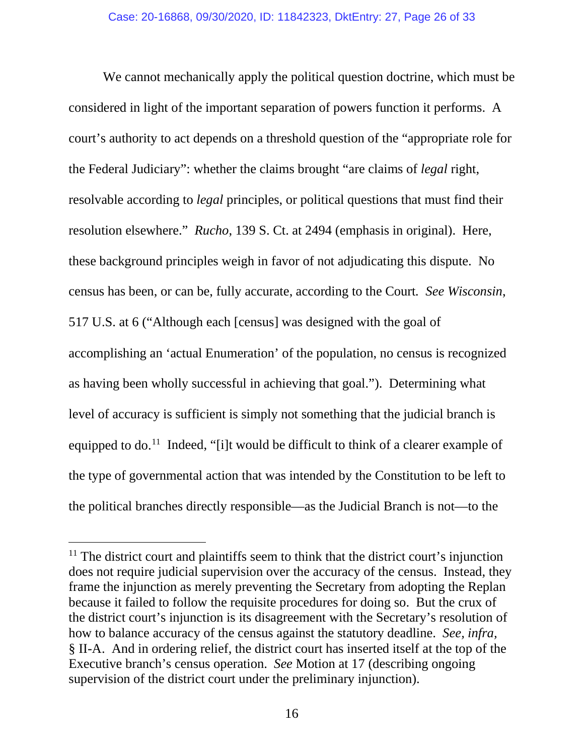We cannot mechanically apply the political question doctrine, which must be considered in light of the important separation of powers function it performs. A court's authority to act depends on a threshold question of the "appropriate role for the Federal Judiciary": whether the claims brought "are claims of *legal* right, resolvable according to *legal* principles, or political questions that must find their resolution elsewhere." *Rucho*, 139 S. Ct. at 2494 (emphasis in original). Here, these background principles weigh in favor of not adjudicating this dispute. No census has been, or can be, fully accurate, according to the Court*. See Wisconsin*, 517 U.S. at 6 ("Although each [census] was designed with the goal of accomplishing an 'actual Enumeration' of the population, no census is recognized as having been wholly successful in achieving that goal."). Determining what level of accuracy is sufficient is simply not something that the judicial branch is equipped to do.<sup>[11](#page-25-0)</sup> Indeed, "[i]t would be difficult to think of a clearer example of the type of governmental action that was intended by the Constitution to be left to the political branches directly responsible—as the Judicial Branch is not—to the

<span id="page-25-0"></span> $11$  The district court and plaintiffs seem to think that the district court's injunction does not require judicial supervision over the accuracy of the census. Instead, they frame the injunction as merely preventing the Secretary from adopting the Replan because it failed to follow the requisite procedures for doing so. But the crux of the district court's injunction is its disagreement with the Secretary's resolution of how to balance accuracy of the census against the statutory deadline. *See, infra,*  § II-A. And in ordering relief, the district court has inserted itself at the top of the Executive branch's census operation. *See* Motion at 17 (describing ongoing supervision of the district court under the preliminary injunction).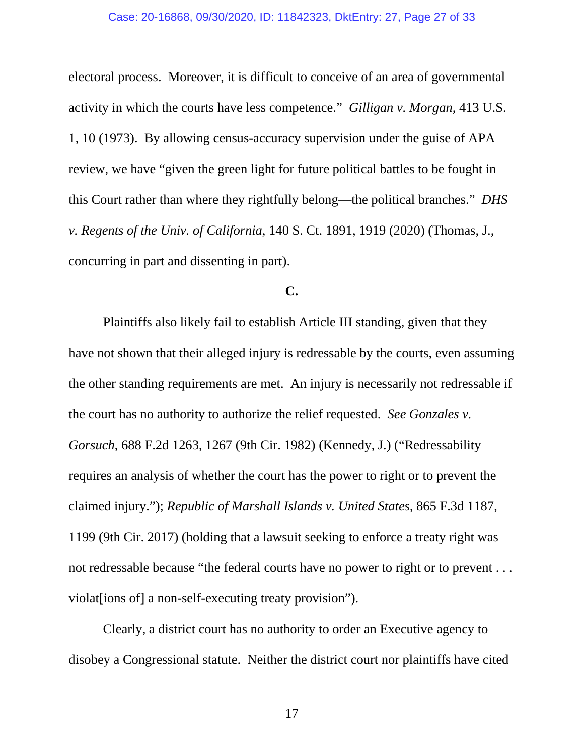electoral process. Moreover, it is difficult to conceive of an area of governmental activity in which the courts have less competence." *Gilligan v. Morgan*, 413 U.S. 1, 10 (1973). By allowing census-accuracy supervision under the guise of APA review, we have "given the green light for future political battles to be fought in this Court rather than where they rightfully belong—the political branches." *DHS v. Regents of the Univ. of California*, 140 S. Ct. 1891, 1919 (2020) (Thomas, J., concurring in part and dissenting in part).

# **C.**

Plaintiffs also likely fail to establish Article III standing, given that they have not shown that their alleged injury is redressable by the courts, even assuming the other standing requirements are met. An injury is necessarily not redressable if the court has no authority to authorize the relief requested. *See Gonzales v. Gorsuch*, 688 F.2d 1263, 1267 (9th Cir. 1982) (Kennedy, J.) ("Redressability requires an analysis of whether the court has the power to right or to prevent the claimed injury."); *Republic of Marshall Islands v. United States*, 865 F.3d 1187, 1199 (9th Cir. 2017) (holding that a lawsuit seeking to enforce a treaty right was not redressable because "the federal courts have no power to right or to prevent . . . violate lions of a non-self-executing treaty provision").

Clearly, a district court has no authority to order an Executive agency to disobey a Congressional statute. Neither the district court nor plaintiffs have cited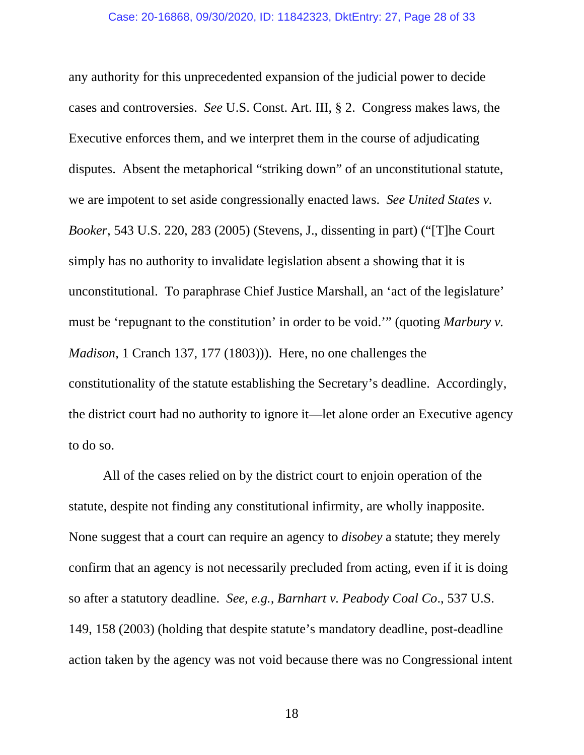any authority for this unprecedented expansion of the judicial power to decide cases and controversies. *See* U.S. Const. Art. III, § 2. Congress makes laws, the Executive enforces them, and we interpret them in the course of adjudicating disputes. Absent the metaphorical "striking down" of an unconstitutional statute, we are impotent to set aside congressionally enacted laws. *See United States v. Booker*, 543 U.S. 220, 283 (2005) (Stevens, J., dissenting in part) ("[T]he Court simply has no authority to invalidate legislation absent a showing that it is unconstitutional. To paraphrase Chief Justice Marshall, an 'act of the legislature' must be 'repugnant to the constitution' in order to be void.'" (quoting *Marbury v. Madison*, 1 Cranch 137, 177 (1803))). Here, no one challenges the constitutionality of the statute establishing the Secretary's deadline. Accordingly, the district court had no authority to ignore it—let alone order an Executive agency to do so.

All of the cases relied on by the district court to enjoin operation of the statute, despite not finding any constitutional infirmity, are wholly inapposite. None suggest that a court can require an agency to *disobey* a statute; they merely confirm that an agency is not necessarily precluded from acting, even if it is doing so after a statutory deadline. *See, e.g., Barnhart v. Peabody Coal Co*., 537 U.S. 149, 158 (2003) (holding that despite statute's mandatory deadline, post-deadline action taken by the agency was not void because there was no Congressional intent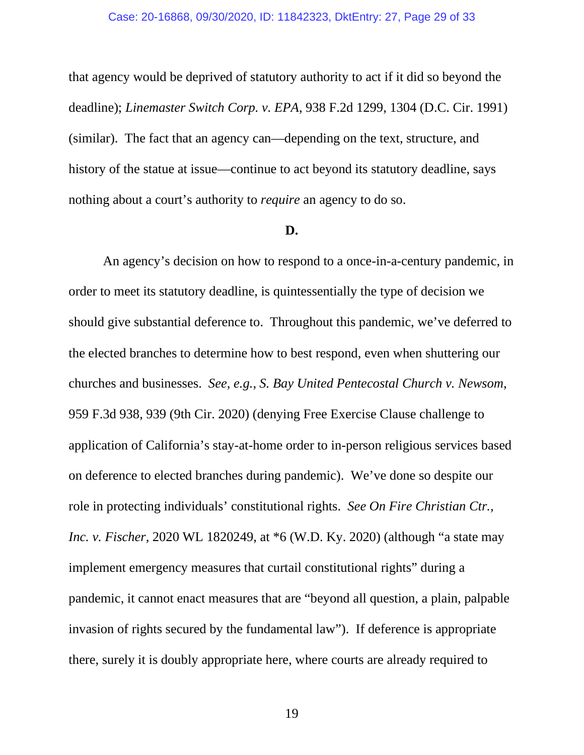#### Case: 20-16868, 09/30/2020, ID: 11842323, DktEntry: 27, Page 29 of 33

that agency would be deprived of statutory authority to act if it did so beyond the deadline); *Linemaster Switch Corp. v. EPA*, 938 F.2d 1299, 1304 (D.C. Cir. 1991) (similar). The fact that an agency can—depending on the text, structure, and history of the statue at issue—continue to act beyond its statutory deadline, says nothing about a court's authority to *require* an agency to do so.

#### **D.**

An agency's decision on how to respond to a once-in-a-century pandemic, in order to meet its statutory deadline, is quintessentially the type of decision we should give substantial deference to. Throughout this pandemic, we've deferred to the elected branches to determine how to best respond, even when shuttering our churches and businesses. *See, e.g.*, *S. Bay United Pentecostal Church v. Newsom*, 959 F.3d 938, 939 (9th Cir. 2020) (denying Free Exercise Clause challenge to application of California's stay-at-home order to in-person religious services based on deference to elected branches during pandemic). We've done so despite our role in protecting individuals' constitutional rights. *See On Fire Christian Ctr., Inc. v. Fischer*, 2020 WL 1820249, at \*6 (W.D. Ky. 2020) (although "a state may implement emergency measures that curtail constitutional rights" during a pandemic, it cannot enact measures that are "beyond all question, a plain, palpable invasion of rights secured by the fundamental law"). If deference is appropriate there, surely it is doubly appropriate here, where courts are already required to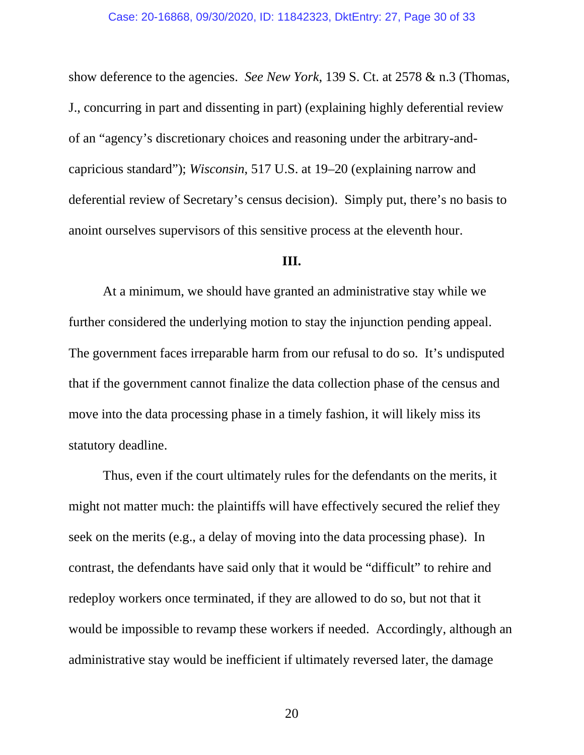show deference to the agencies. *See New York*, 139 S. Ct. at 2578 & n.3 (Thomas, J., concurring in part and dissenting in part) (explaining highly deferential review of an "agency's discretionary choices and reasoning under the arbitrary-andcapricious standard"); *Wisconsin*, 517 U.S. at 19–20 (explaining narrow and deferential review of Secretary's census decision). Simply put, there's no basis to anoint ourselves supervisors of this sensitive process at the eleventh hour.

#### **III.**

At a minimum, we should have granted an administrative stay while we further considered the underlying motion to stay the injunction pending appeal. The government faces irreparable harm from our refusal to do so. It's undisputed that if the government cannot finalize the data collection phase of the census and move into the data processing phase in a timely fashion, it will likely miss its statutory deadline.

Thus, even if the court ultimately rules for the defendants on the merits, it might not matter much: the plaintiffs will have effectively secured the relief they seek on the merits (e.g., a delay of moving into the data processing phase). In contrast, the defendants have said only that it would be "difficult" to rehire and redeploy workers once terminated, if they are allowed to do so, but not that it would be impossible to revamp these workers if needed. Accordingly, although an administrative stay would be inefficient if ultimately reversed later, the damage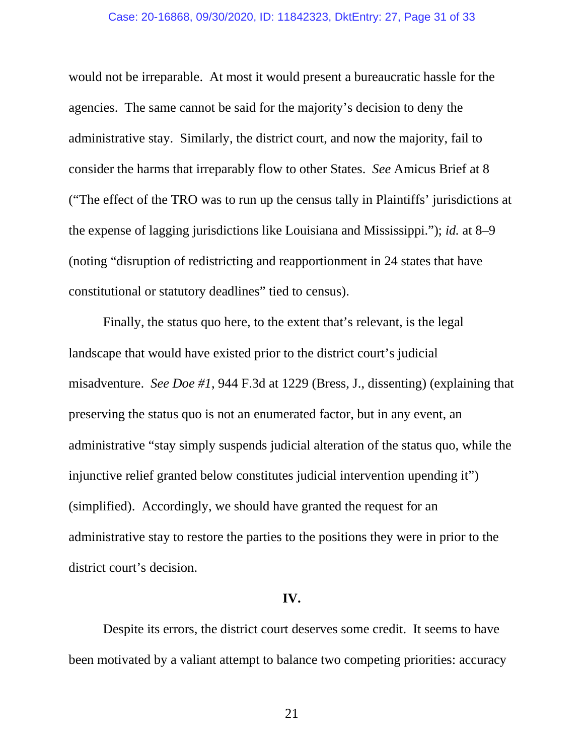#### Case: 20-16868, 09/30/2020, ID: 11842323, DktEntry: 27, Page 31 of 33

would not be irreparable. At most it would present a bureaucratic hassle for the agencies. The same cannot be said for the majority's decision to deny the administrative stay. Similarly, the district court, and now the majority, fail to consider the harms that irreparably flow to other States. *See* Amicus Brief at 8 ("The effect of the TRO was to run up the census tally in Plaintiffs' jurisdictions at the expense of lagging jurisdictions like Louisiana and Mississippi."); *id.* at 8–9 (noting "disruption of redistricting and reapportionment in 24 states that have constitutional or statutory deadlines" tied to census).

Finally, the status quo here, to the extent that's relevant, is the legal landscape that would have existed prior to the district court's judicial misadventure. *See Doe #1*, 944 F.3d at 1229 (Bress, J., dissenting) (explaining that preserving the status quo is not an enumerated factor, but in any event, an administrative "stay simply suspends judicial alteration of the status quo, while the injunctive relief granted below constitutes judicial intervention upending it") (simplified). Accordingly, we should have granted the request for an administrative stay to restore the parties to the positions they were in prior to the district court's decision.

## **IV.**

Despite its errors, the district court deserves some credit. It seems to have been motivated by a valiant attempt to balance two competing priorities: accuracy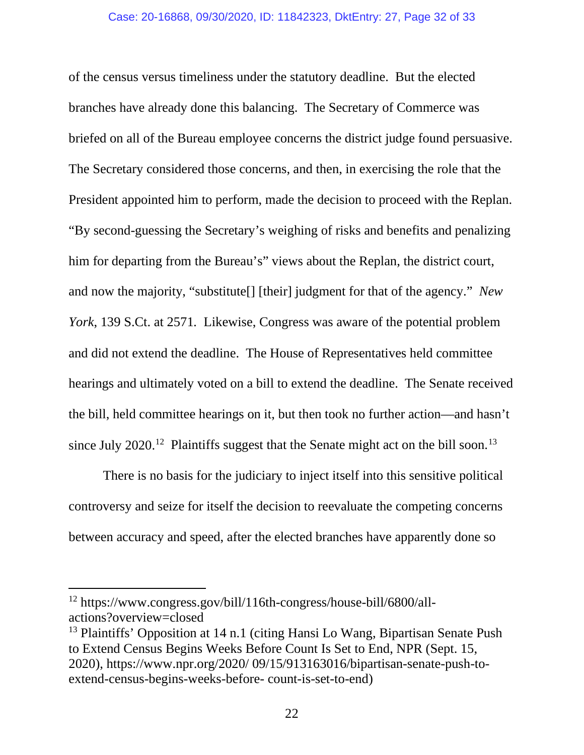of the census versus timeliness under the statutory deadline. But the elected branches have already done this balancing. The Secretary of Commerce was briefed on all of the Bureau employee concerns the district judge found persuasive. The Secretary considered those concerns, and then, in exercising the role that the President appointed him to perform, made the decision to proceed with the Replan. "By second-guessing the Secretary's weighing of risks and benefits and penalizing him for departing from the Bureau's" views about the Replan, the district court, and now the majority, "substitute[] [their] judgment for that of the agency." *New York*, 139 S.Ct. at 2571*.* Likewise, Congress was aware of the potential problem and did not extend the deadline. The House of Representatives held committee hearings and ultimately voted on a bill to extend the deadline. The Senate received the bill, held committee hearings on it, but then took no further action—and hasn't since July 2020.<sup>[12](#page-31-0)</sup> Plaintiffs suggest that the Senate might act on the bill soon.<sup>[13](#page-31-1)</sup>

There is no basis for the judiciary to inject itself into this sensitive political controversy and seize for itself the decision to reevaluate the competing concerns between accuracy and speed, after the elected branches have apparently done so

<span id="page-31-0"></span><sup>12</sup> https://www.congress.gov/bill/116th-congress/house-bill/6800/allactions?overview=closed

<span id="page-31-1"></span><sup>&</sup>lt;sup>13</sup> Plaintiffs' Opposition at 14 n.1 (citing Hansi Lo Wang, Bipartisan Senate Push to Extend Census Begins Weeks Before Count Is Set to End, NPR (Sept. 15, 2020), https://www.npr.org/2020/ 09/15/913163016/bipartisan-senate-push-toextend-census-begins-weeks-before- count-is-set-to-end)